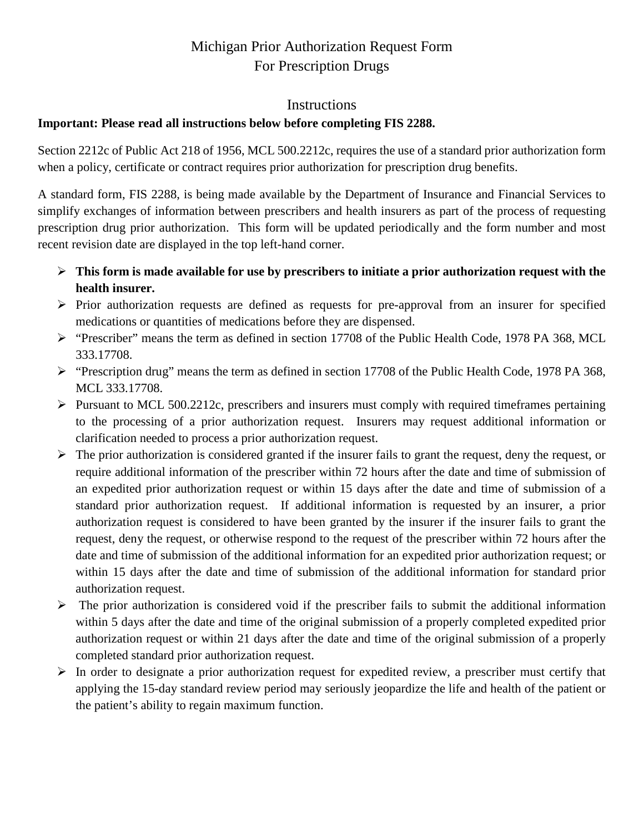# Michigan Prior Authorization Request Form For Prescription Drugs

### Instructions

## **Important: Please read all instructions below before completing FIS 2288.**

Section 2212c of Public Act 218 of 1956, MCL 500.2212c, requires the use of a standard prior authorization form when a policy, certificate or contract requires prior authorization for prescription drug benefits.

A standard form, FIS 2288, is being made available by the Department of Insurance and Financial Services to simplify exchanges of information between prescribers and health insurers as part of the process of requesting prescription drug prior authorization. This form will be updated periodically and the form number and most recent revision date are displayed in the top left-hand corner.

- **This form is made available for use by prescribers to initiate a prior authorization request with the health insurer.**
- $\triangleright$  Prior authorization requests are defined as requests for pre-approval from an insurer for specified medications or quantities of medications before they are dispensed.
- "Prescriber" means the term as defined in section 17708 of the Public Health Code, 1978 PA 368, MCL 333.17708.
- "Prescription drug" means the term as defined in section 17708 of the Public Health Code, 1978 PA 368, MCL 333.17708.
- $\triangleright$  Pursuant to MCL 500.2212c, prescribers and insurers must comply with required timeframes pertaining to the processing of a prior authorization request. Insurers may request additional information or clarification needed to process a prior authorization request.
- $\triangleright$  The prior authorization is considered granted if the insurer fails to grant the request, deny the request, or require additional information of the prescriber within 72 hours after the date and time of submission of an expedited prior authorization request or within 15 days after the date and time of submission of a standard prior authorization request. If additional information is requested by an insurer, a prior authorization request is considered to have been granted by the insurer if the insurer fails to grant the request, deny the request, or otherwise respond to the request of the prescriber within 72 hours after the date and time of submission of the additional information for an expedited prior authorization request; or within 15 days after the date and time of submission of the additional information for standard prior authorization request.
- $\triangleright$  The prior authorization is considered void if the prescriber fails to submit the additional information within 5 days after the date and time of the original submission of a properly completed expedited prior authorization request or within 21 days after the date and time of the original submission of a properly completed standard prior authorization request.
- $\triangleright$  In order to designate a prior authorization request for expedited review, a prescriber must certify that applying the 15-day standard review period may seriously jeopardize the life and health of the patient or the patient's ability to regain maximum function.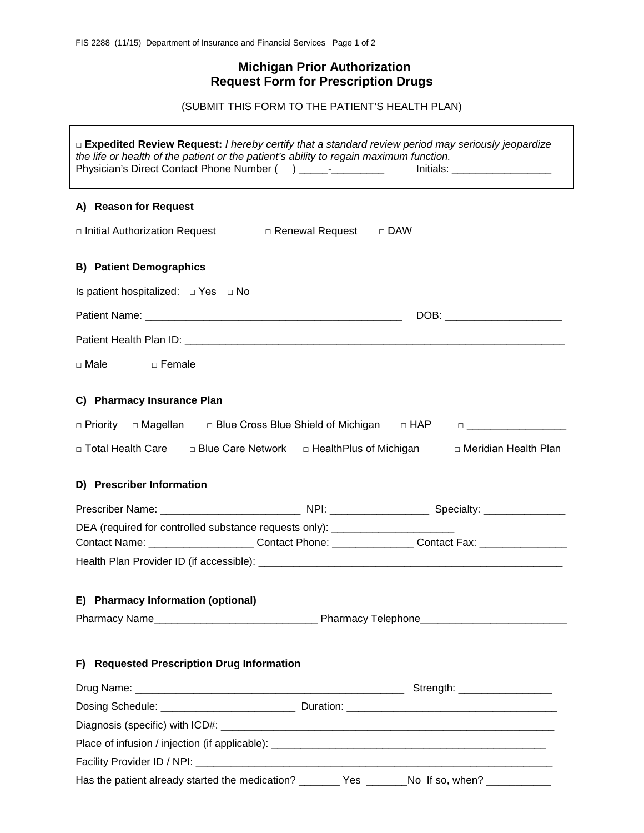# **Michigan Prior Authorization Request Form for Prescription Drugs**

(SUBMIT THIS FORM TO THE PATIENT'S HEALTH PLAN)

| □ Expedited Review Request: I hereby certify that a standard review period may seriously jeopardize<br>the life or health of the patient or the patient's ability to regain maximum function.<br>Physician's Direct Contact Phone Number () _____-__________ | Initials: ______________________                                                                              |  |  |  |  |
|--------------------------------------------------------------------------------------------------------------------------------------------------------------------------------------------------------------------------------------------------------------|---------------------------------------------------------------------------------------------------------------|--|--|--|--|
| A) Reason for Request                                                                                                                                                                                                                                        |                                                                                                               |  |  |  |  |
| □ Initial Authorization Request  D Benewal Request<br>$\Box$ DAW                                                                                                                                                                                             |                                                                                                               |  |  |  |  |
| <b>B) Patient Demographics</b>                                                                                                                                                                                                                               |                                                                                                               |  |  |  |  |
| Is patient hospitalized: $\Box$ Yes $\Box$ No                                                                                                                                                                                                                |                                                                                                               |  |  |  |  |
|                                                                                                                                                                                                                                                              |                                                                                                               |  |  |  |  |
|                                                                                                                                                                                                                                                              |                                                                                                               |  |  |  |  |
| □ Male □ Female                                                                                                                                                                                                                                              |                                                                                                               |  |  |  |  |
| C) Pharmacy Insurance Plan                                                                                                                                                                                                                                   |                                                                                                               |  |  |  |  |
| □ Priority □ Magellan □ Blue Cross Blue Shield of Michigan □ HAP                                                                                                                                                                                             |                                                                                                               |  |  |  |  |
| □ Total Health Care □ Blue Care Network □ HealthPlus of Michigan                                                                                                                                                                                             | □ Meridian Health Plan                                                                                        |  |  |  |  |
| D) Prescriber Information                                                                                                                                                                                                                                    |                                                                                                               |  |  |  |  |
|                                                                                                                                                                                                                                                              | Prescriber Name: __________________________________ NPI: _______________________ Specialty: _________________ |  |  |  |  |
| DEA (required for controlled substance requests only): _________________________                                                                                                                                                                             |                                                                                                               |  |  |  |  |
|                                                                                                                                                                                                                                                              | Contact Name: ________________________Contact Phone: _________________Contact Fax: ________________           |  |  |  |  |
|                                                                                                                                                                                                                                                              |                                                                                                               |  |  |  |  |
|                                                                                                                                                                                                                                                              |                                                                                                               |  |  |  |  |
| E) Pharmacy Information (optional)                                                                                                                                                                                                                           |                                                                                                               |  |  |  |  |
|                                                                                                                                                                                                                                                              |                                                                                                               |  |  |  |  |
| F) Requested Prescription Drug Information                                                                                                                                                                                                                   |                                                                                                               |  |  |  |  |
|                                                                                                                                                                                                                                                              | Strength: ___________________                                                                                 |  |  |  |  |
|                                                                                                                                                                                                                                                              |                                                                                                               |  |  |  |  |
|                                                                                                                                                                                                                                                              |                                                                                                               |  |  |  |  |
|                                                                                                                                                                                                                                                              |                                                                                                               |  |  |  |  |
|                                                                                                                                                                                                                                                              |                                                                                                               |  |  |  |  |
| Has the patient already started the medication? _______ Yes ______No If so, when? __________                                                                                                                                                                 |                                                                                                               |  |  |  |  |